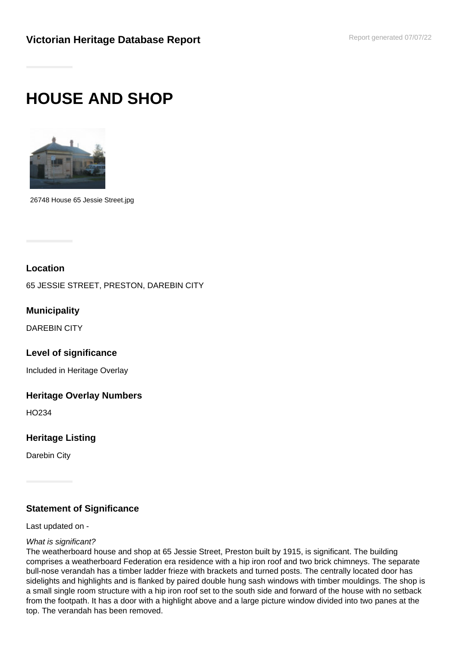# **HOUSE AND SHOP**



26748 House 65 Jessie Street.jpg

## **Location**

65 JESSIE STREET, PRESTON, DAREBIN CITY

**Municipality**

DAREBIN CITY

**Level of significance**

Included in Heritage Overlay

### **Heritage Overlay Numbers**

HO234

**Heritage Listing**

Darebin City

# **Statement of Significance**

Last updated on -

### What is significant?

The weatherboard house and shop at 65 Jessie Street, Preston built by 1915, is significant. The building comprises a weatherboard Federation era residence with a hip iron roof and two brick chimneys. The separate bull-nose verandah has a timber ladder frieze with brackets and turned posts. The centrally located door has sidelights and highlights and is flanked by paired double hung sash windows with timber mouldings. The shop is a small single room structure with a hip iron roof set to the south side and forward of the house with no setback from the footpath. It has a door with a highlight above and a large picture window divided into two panes at the top. The verandah has been removed.